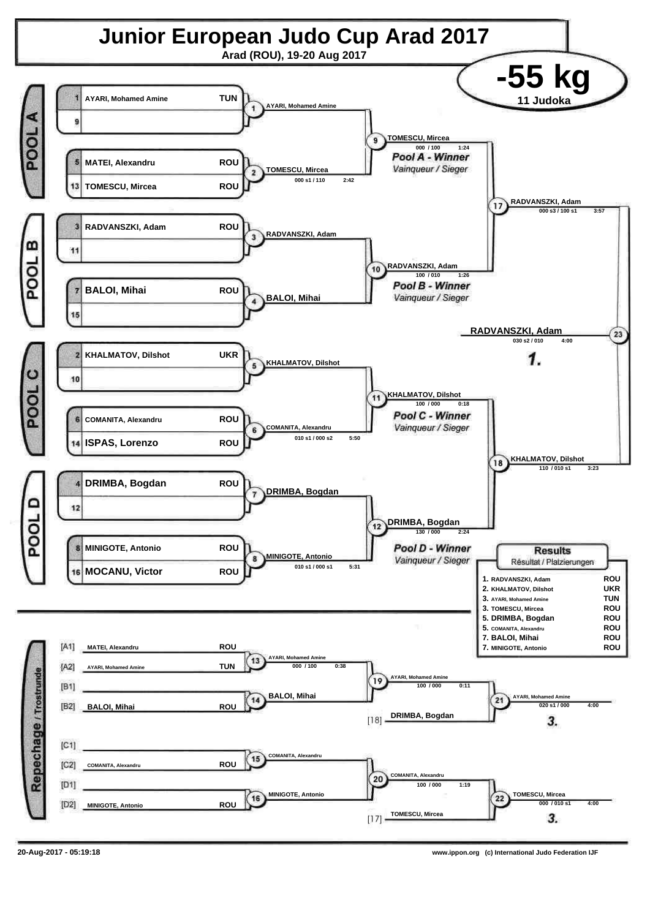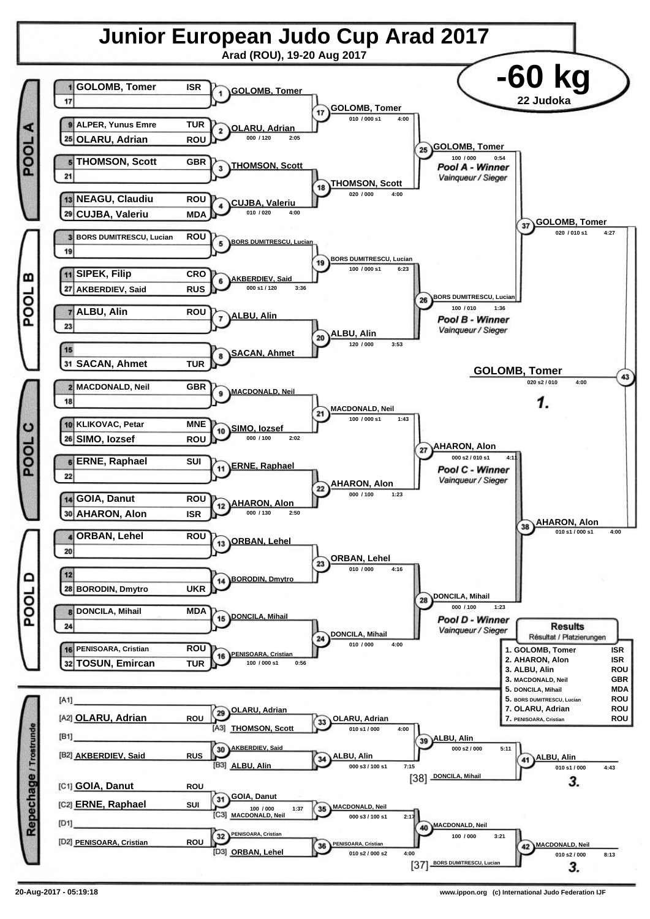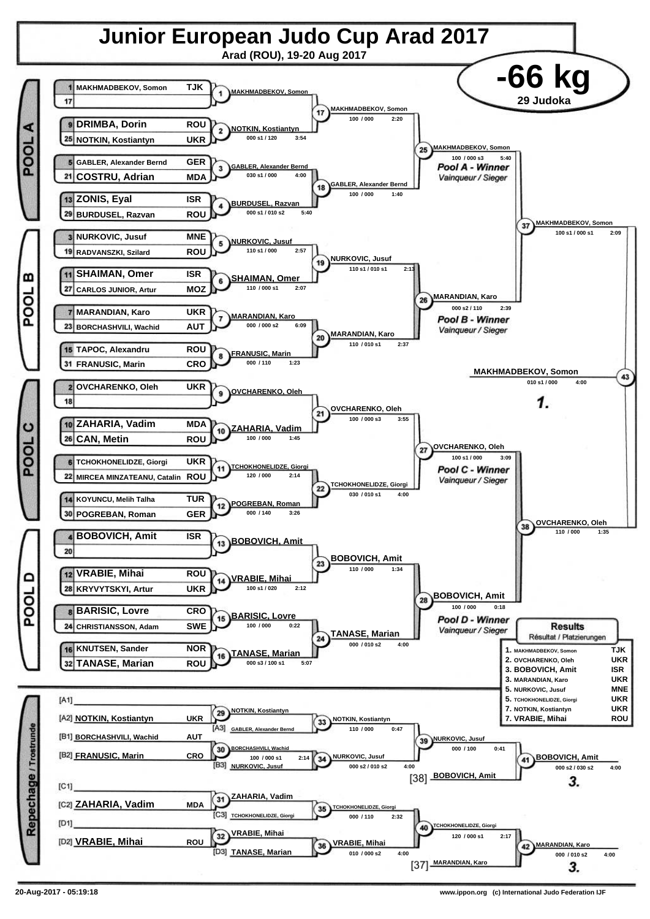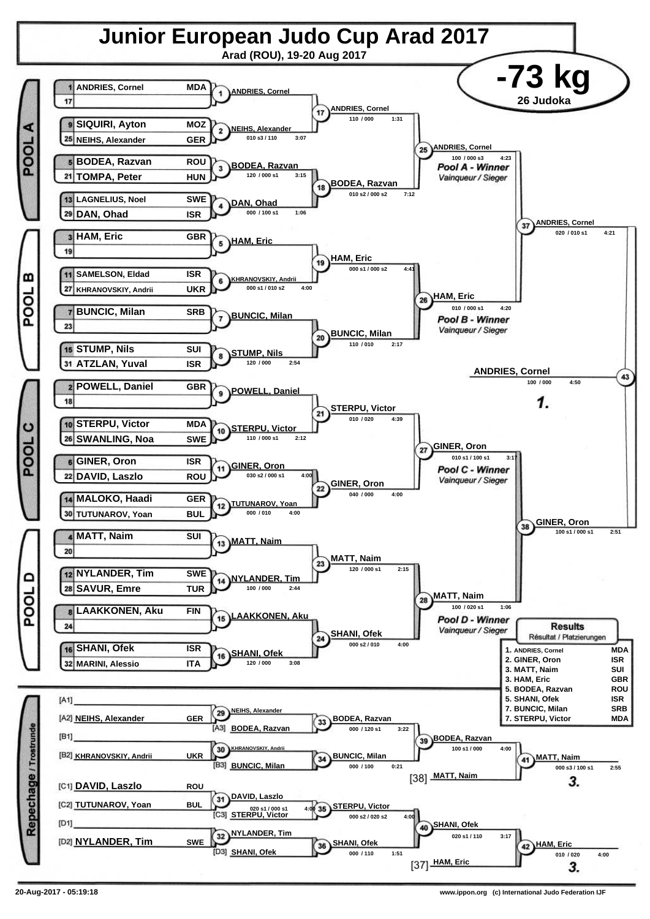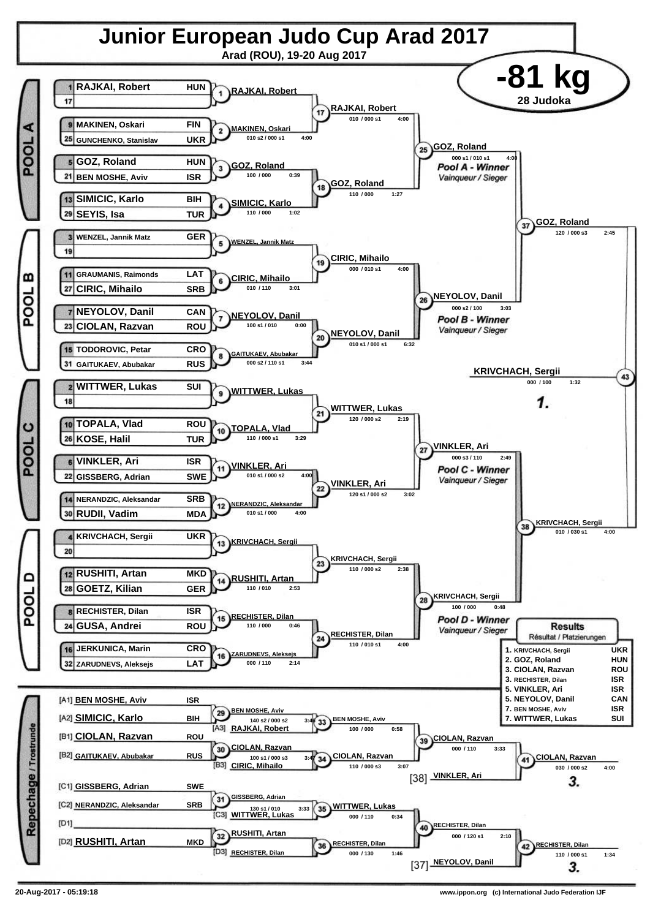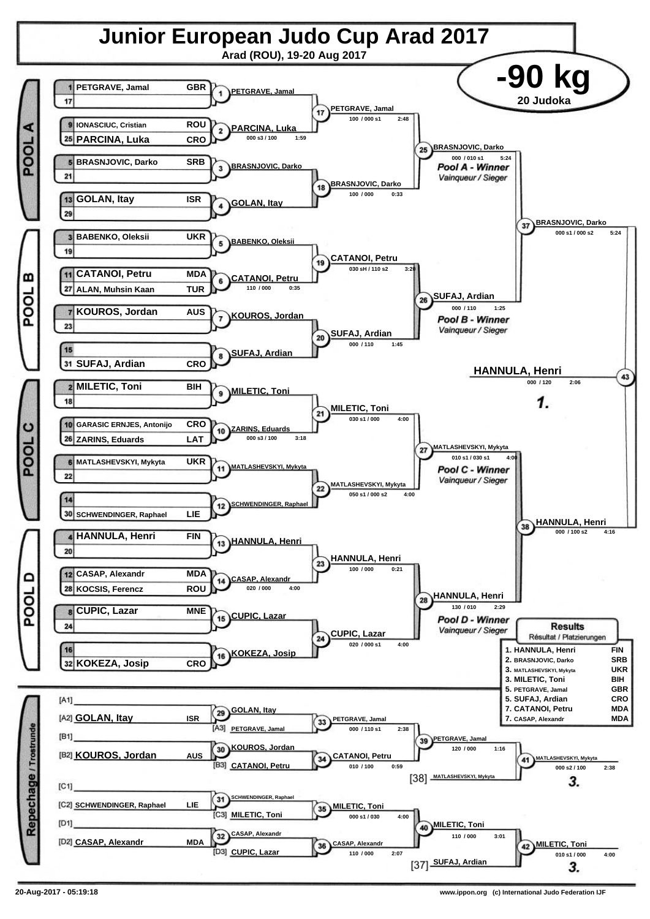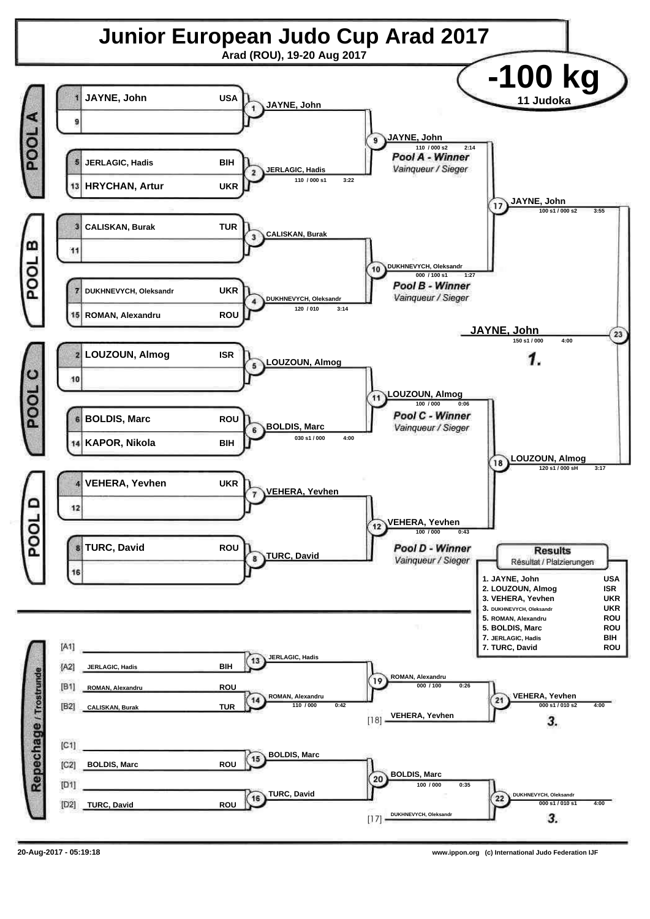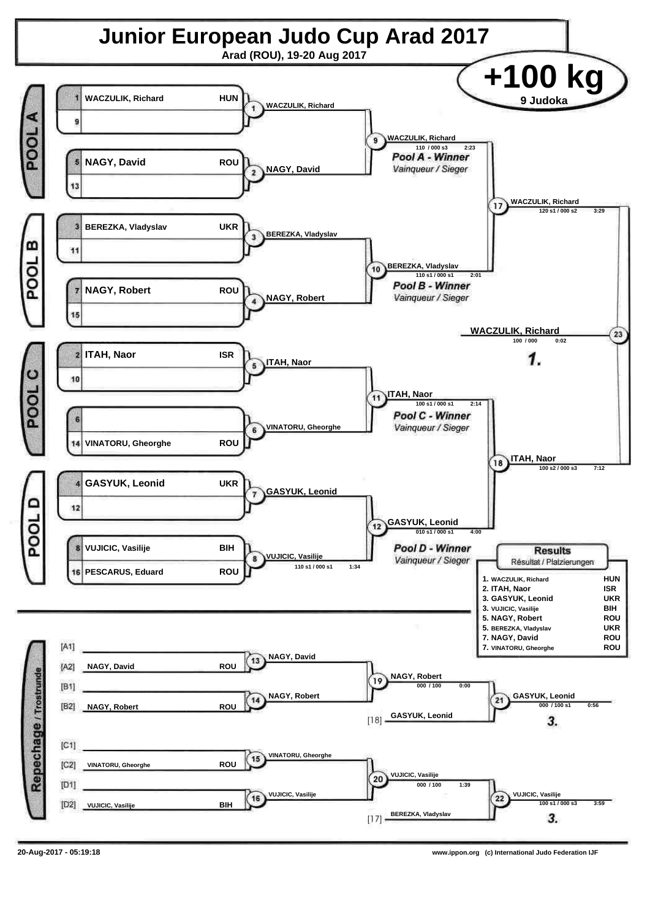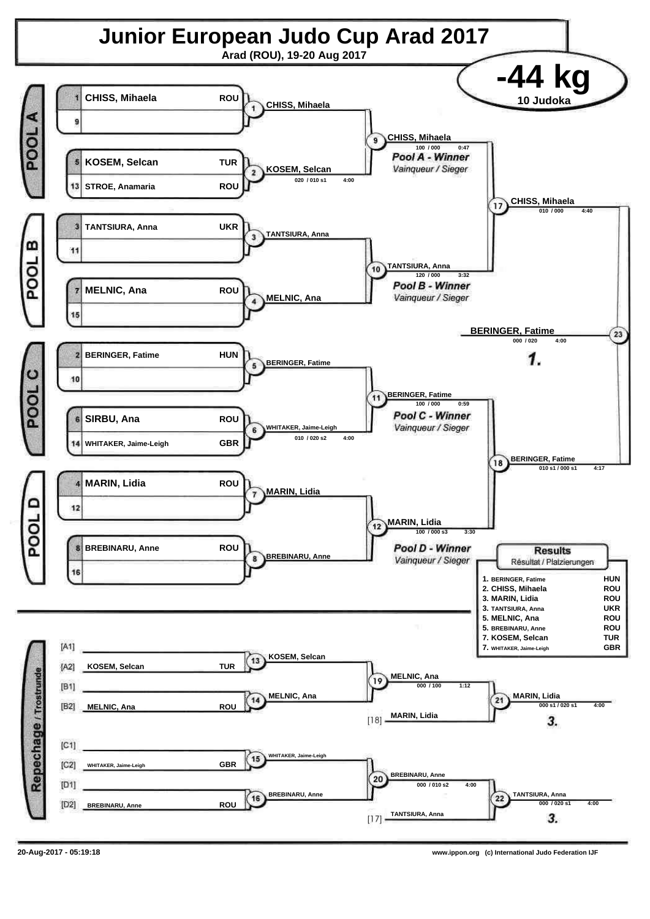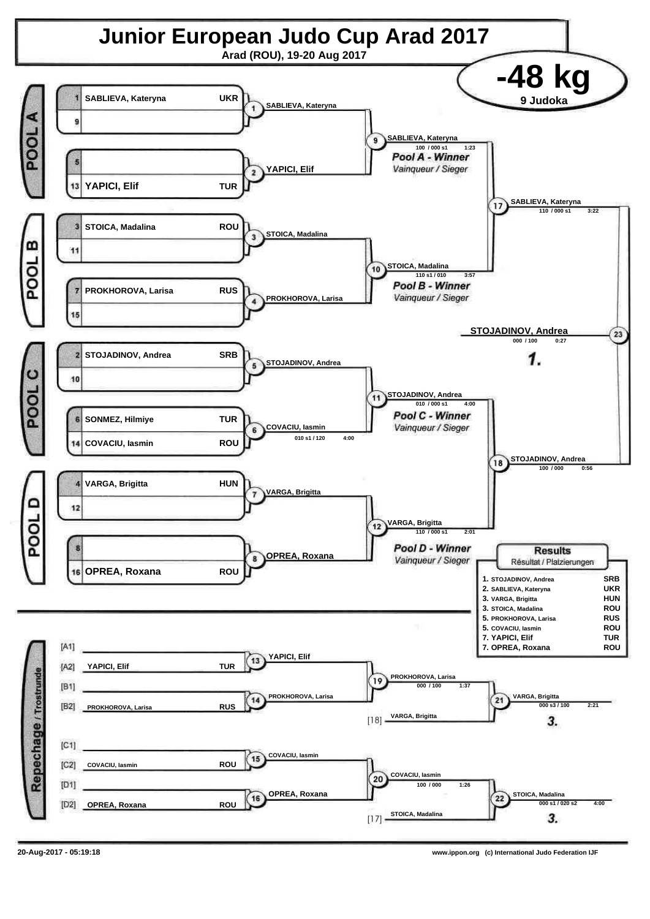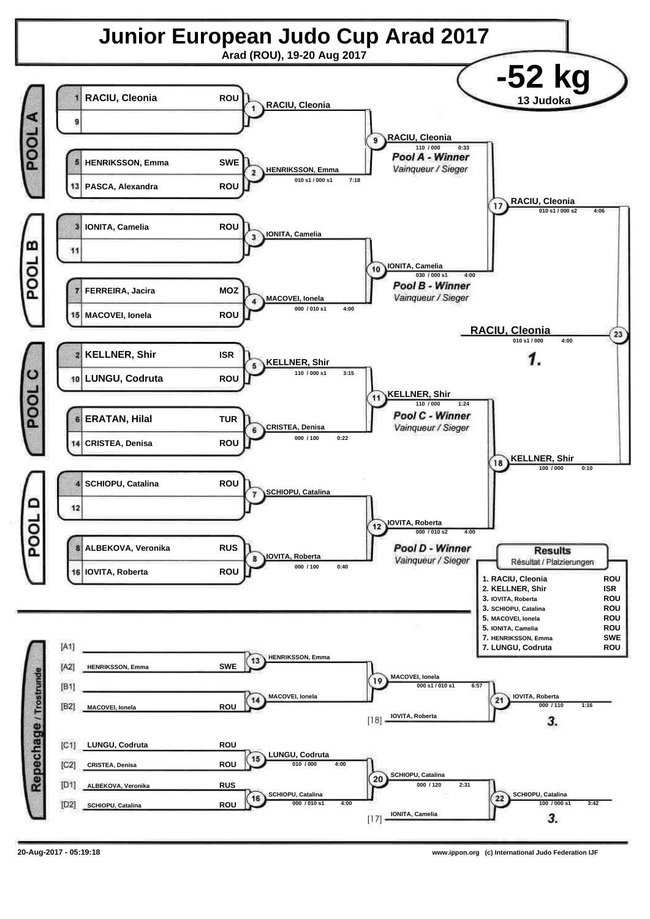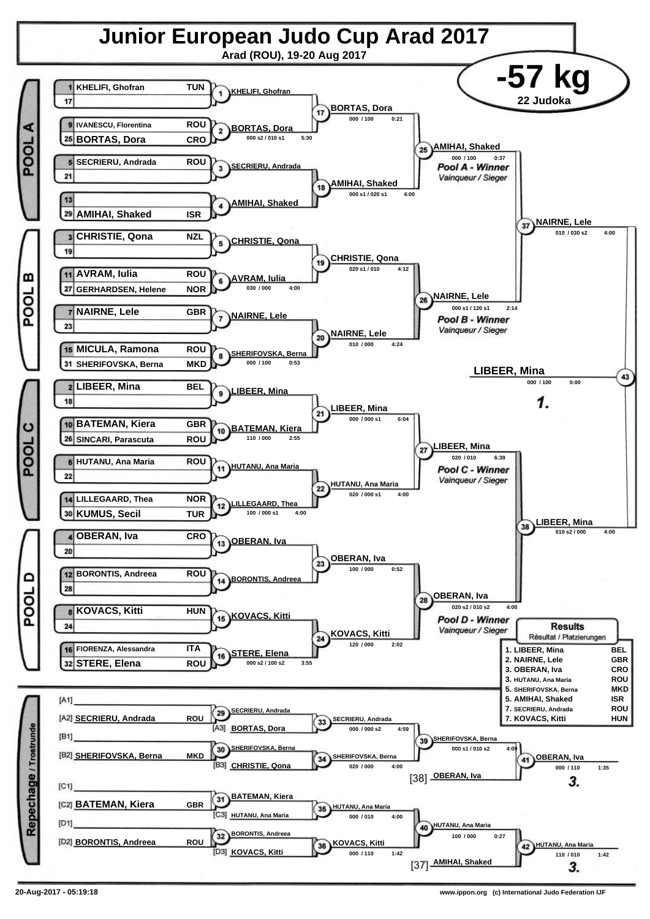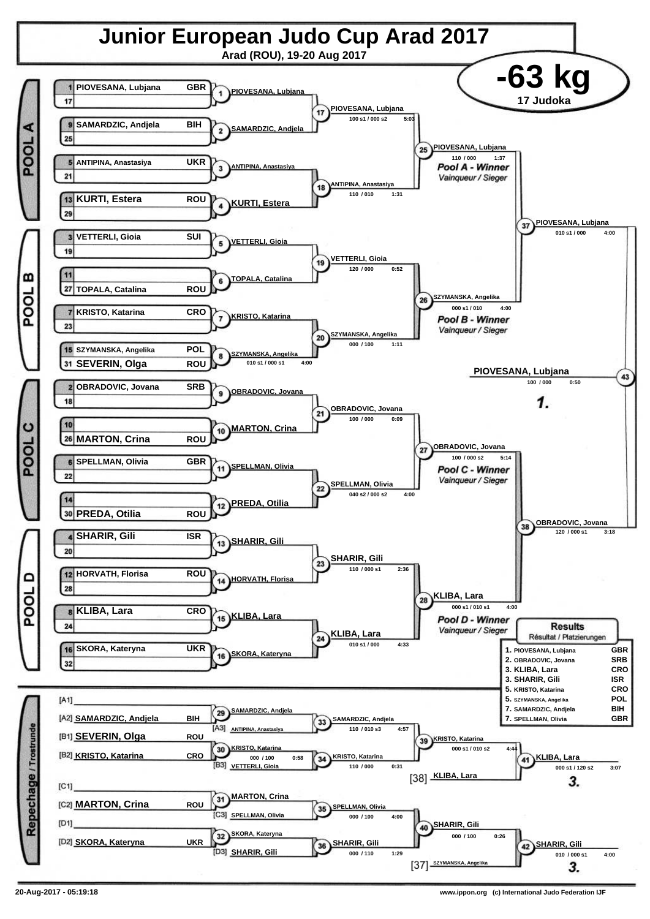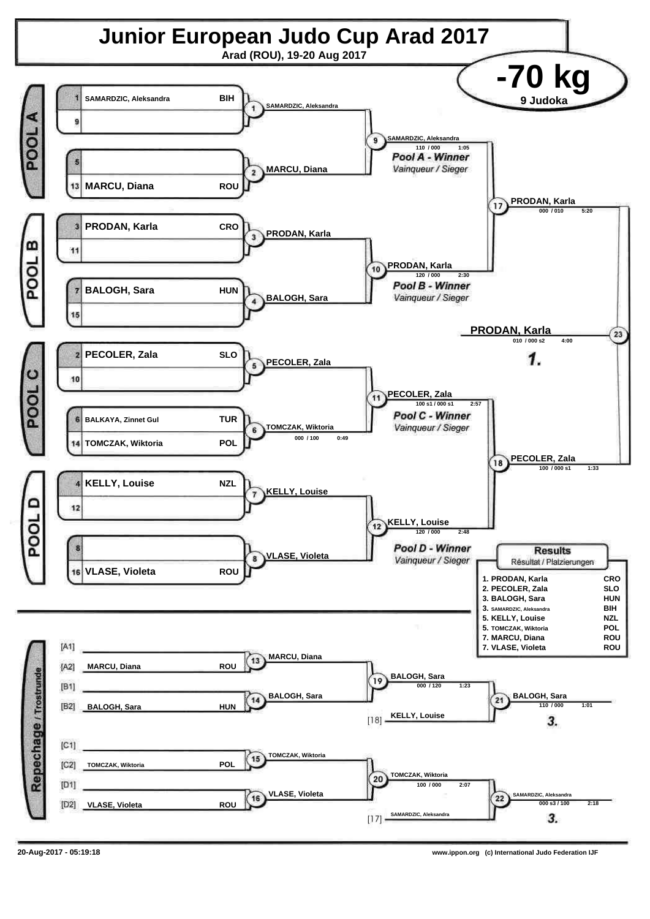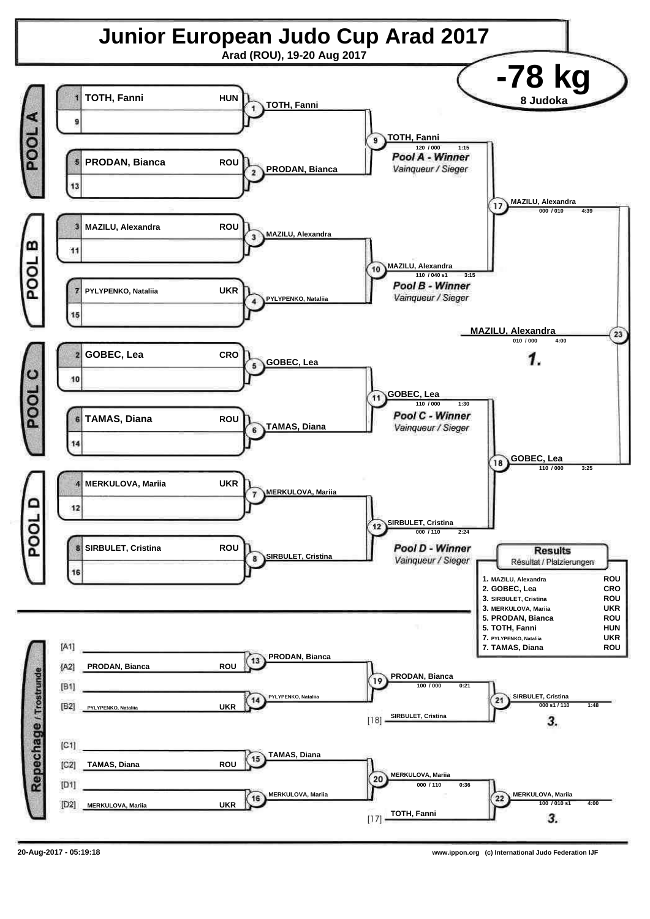